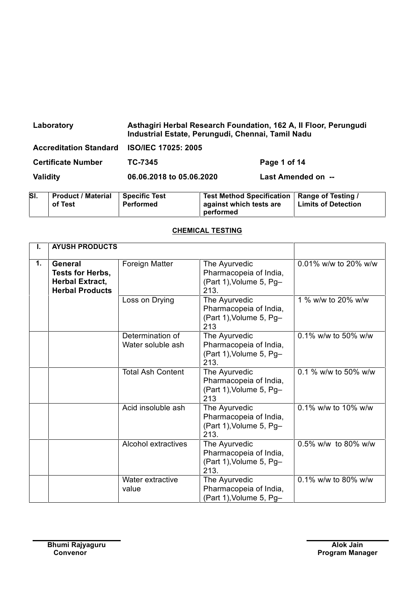| Laboratory                                 | Asthagiri Herbal Research Foundation, 162 A, Il Floor, Perungudi<br>Industrial Estate, Perungudi, Chennai, Tamil Nadu |                    |  |
|--------------------------------------------|-----------------------------------------------------------------------------------------------------------------------|--------------------|--|
| Accreditation Standard ISO/IEC 17025: 2005 |                                                                                                                       |                    |  |
| <b>Certificate Number</b>                  | TC-7345                                                                                                               | Page 1 of 14       |  |
| Validity                                   | 06.06.2018 to 05.06.2020                                                                                              | Last Amended on -- |  |

| SI. | <b>Product / Material</b><br>of Test | Specific Test<br>Performed | Test Method Specification   Range of Testing /<br>against which tests are | Limits of Detection |
|-----|--------------------------------------|----------------------------|---------------------------------------------------------------------------|---------------------|
|     |                                      |                            | performed                                                                 |                     |

## **CHEMICAL TESTING**

| Т.             | <b>AYUSH PRODUCTS</b>                                                                  |                                       |                                                                            |                      |
|----------------|----------------------------------------------------------------------------------------|---------------------------------------|----------------------------------------------------------------------------|----------------------|
| $\mathbf{1}$ . | <b>General</b><br>Tests for Herbs,<br><b>Herbal Extract,</b><br><b>Herbal Products</b> | Foreign Matter                        | The Ayurvedic<br>Pharmacopeia of India,<br>(Part 1), Volume 5, Pg-<br>213. | 0.01% w/w to 20% w/w |
|                |                                                                                        | Loss on Drying                        | The Ayurvedic<br>Pharmacopeia of India,<br>(Part 1), Volume 5, Pg-<br>213  | 1 % w/w to 20% w/w   |
|                |                                                                                        | Determination of<br>Water soluble ash | The Ayurvedic<br>Pharmacopeia of India,<br>(Part 1), Volume 5, Pg-<br>213. | 0.1% w/w to 50% w/w  |
|                |                                                                                        | <b>Total Ash Content</b>              | The Ayurvedic<br>Pharmacopeia of India,<br>(Part 1), Volume 5, Pg-<br>213  | 0.1 % w/w to 50% w/w |
|                |                                                                                        | Acid insoluble ash                    | The Ayurvedic<br>Pharmacopeia of India,<br>(Part 1), Volume 5, Pg-<br>213. | 0.1% w/w to 10% w/w  |
|                |                                                                                        | Alcohol extractives                   | The Ayurvedic<br>Pharmacopeia of India,<br>(Part 1), Volume 5, Pg-<br>213. | 0.5% w/w to 80% w/w  |
|                |                                                                                        | Water extractive<br>value             | The Ayurvedic<br>Pharmacopeia of India,<br>(Part 1), Volume 5, Pg-         | 0.1% w/w to 80% w/w  |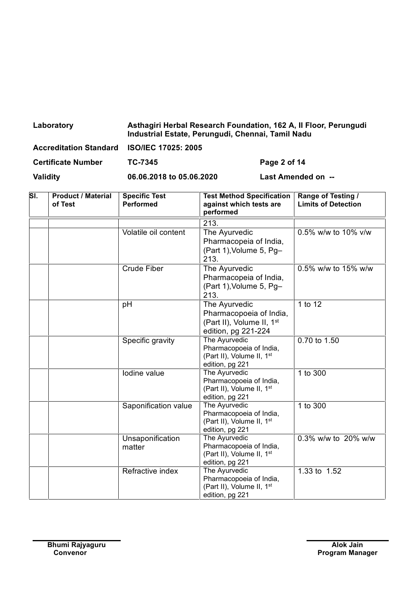| Laboratory                                 | Asthagiri Herbal Research Foundation, 162 A, Il Floor, Perungudi<br>Industrial Estate, Perungudi, Chennai, Tamil Nadu |              |
|--------------------------------------------|-----------------------------------------------------------------------------------------------------------------------|--------------|
| Accreditation Standard ISO/IEC 17025: 2005 |                                                                                                                       |              |
| <b>Certificate Number</b>                  | TC-7345                                                                                                               | Page 2 of 14 |

| SI. | <b>Product / Material</b><br>of Test | <b>Specific Test</b><br><b>Performed</b> | <b>Test Method Specification</b>                         | Range of Testing /<br><b>Limits of Detection</b> |
|-----|--------------------------------------|------------------------------------------|----------------------------------------------------------|--------------------------------------------------|
|     |                                      |                                          | against which tests are<br>performed                     |                                                  |
|     |                                      |                                          | $\overline{213}$ .                                       |                                                  |
|     |                                      | Volatile oil content                     | The Ayurvedic                                            | 0.5% w/w to 10% v/w                              |
|     |                                      |                                          | Pharmacopeia of India,                                   |                                                  |
|     |                                      |                                          | (Part 1), Volume 5, Pg-                                  |                                                  |
|     |                                      |                                          | 213.                                                     |                                                  |
|     |                                      | <b>Crude Fiber</b>                       | The Ayurvedic                                            | 0.5% w/w to 15% w/w                              |
|     |                                      |                                          | Pharmacopeia of India,                                   |                                                  |
|     |                                      |                                          | (Part 1), Volume 5, Pg-                                  |                                                  |
|     |                                      |                                          | 213.                                                     |                                                  |
|     |                                      | pH                                       | The Ayurvedic                                            | 1 to 12                                          |
|     |                                      |                                          | Pharmacopoeia of India,                                  |                                                  |
|     |                                      |                                          | (Part II), Volume II, 1st                                |                                                  |
|     |                                      |                                          | edition, pg 221-224                                      |                                                  |
|     |                                      | Specific gravity                         | The Ayurvedic                                            | 0.70 to 1.50                                     |
|     |                                      |                                          | Pharmacopoeia of India,                                  |                                                  |
|     |                                      |                                          | (Part II), Volume II, 1 <sup>st</sup><br>edition, pg 221 |                                                  |
|     |                                      | Iodine value                             | The Ayurvedic                                            | 1 to 300                                         |
|     |                                      |                                          | Pharmacopoeia of India,                                  |                                                  |
|     |                                      |                                          | (Part II), Volume II, 1 <sup>st</sup>                    |                                                  |
|     |                                      |                                          | edition, pg 221                                          |                                                  |
|     |                                      | Saponification value                     | The Ayurvedic                                            | 1 to 300                                         |
|     |                                      |                                          | Pharmacopoeia of India,                                  |                                                  |
|     |                                      |                                          | (Part II), Volume II, 1 <sup>st</sup>                    |                                                  |
|     |                                      |                                          | edition, pg 221<br>The Ayurvedic                         | 0.3% w/w to 20% w/w                              |
|     |                                      | Unsaponification                         | Pharmacopoeia of India,                                  |                                                  |
|     |                                      | matter                                   | (Part II), Volume II, 1st                                |                                                  |
|     |                                      |                                          | edition, pg 221                                          |                                                  |
|     |                                      | Refractive index                         | The Ayurvedic                                            | 1.33 to 1.52                                     |
|     |                                      |                                          | Pharmacopoeia of India,                                  |                                                  |
|     |                                      |                                          | (Part II), Volume II, 1st                                |                                                  |
|     |                                      |                                          | edition, pg 221                                          |                                                  |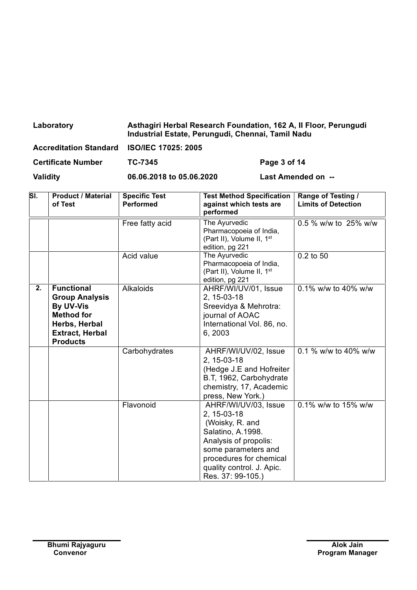| Laboratory                                 | Asthagiri Herbal Research Foundation, 162 A, Il Floor, Perungudi<br>Industrial Estate, Perungudi, Chennai, Tamil Nadu |
|--------------------------------------------|-----------------------------------------------------------------------------------------------------------------------|
| Accreditation Standard ISO/IEC 17025: 2005 |                                                                                                                       |

| <b>Certificate Number</b> | <b>TC-7345</b> |
|---------------------------|----------------|

**Page 3 of 14** 

| SI. | <b>Product / Material</b><br>of Test                                                                                                       | <b>Specific Test</b><br><b>Performed</b> | <b>Test Method Specification</b><br>against which tests are<br>performed                                                                                                                                 | Range of Testing /<br><b>Limits of Detection</b> |
|-----|--------------------------------------------------------------------------------------------------------------------------------------------|------------------------------------------|----------------------------------------------------------------------------------------------------------------------------------------------------------------------------------------------------------|--------------------------------------------------|
|     |                                                                                                                                            | Free fatty acid                          | The Ayurvedic<br>Pharmacopoeia of India,<br>(Part II), Volume II, 1 <sup>st</sup><br>edition, pg 221                                                                                                     | 0.5 % w/w to 25% w/w                             |
|     |                                                                                                                                            | Acid value                               | The Ayurvedic<br>Pharmacopoeia of India,<br>(Part II), Volume II, 1 <sup>st</sup><br>edition, pg 221                                                                                                     | 0.2 to 50                                        |
| 2.  | <b>Functional</b><br><b>Group Analysis</b><br>By UV-Vis<br><b>Method for</b><br>Herbs, Herbal<br><b>Extract, Herbal</b><br><b>Products</b> | Alkaloids                                | AHRF/WI/UV/01, Issue<br>2, 15-03-18<br>Sreevidya & Mehrotra:<br>journal of AOAC<br>International Vol. 86, no.<br>6, 2003                                                                                 | 0.1% w/w to 40% w/w                              |
|     |                                                                                                                                            | Carbohydrates                            | AHRF/WI/UV/02, Issue<br>2, 15-03-18<br>(Hedge J.E and Hofreiter<br>B.T, 1962, Carbohydrate<br>chemistry, 17, Academic<br>press, New York.)                                                               | 0.1 % w/w to 40% w/w                             |
|     |                                                                                                                                            | Flavonoid                                | AHRF/WI/UV/03, Issue<br>2, 15-03-18<br>(Woisky, R. and<br>Salatino, A.1998.<br>Analysis of propolis:<br>some parameters and<br>procedures for chemical<br>quality control. J. Apic.<br>Res. 37: 99-105.) | 0.1% w/w to 15% w/w                              |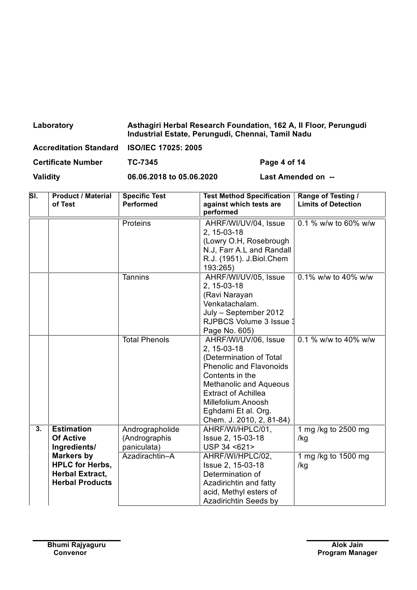| Laboratory                    | Asthagiri Herbal Research Foundation, 162 A, Il Floor, Perungudi<br>Industrial Estate, Perungudi, Chennai, Tamil Nadu |
|-------------------------------|-----------------------------------------------------------------------------------------------------------------------|
| <b>Accreditation Standard</b> | <b>ISO/IEC 17025: 2005</b>                                                                                            |

**Certificate Number TC-7345 Page 4 of 14**

┑

| SI. | <b>Product / Material</b><br>of Test                                                            | <b>Specific Test</b><br><b>Performed</b>        | <b>Test Method Specification</b><br>against which tests are<br>performed                                                                                                                                                                                    | Range of Testing /<br><b>Limits of Detection</b> |
|-----|-------------------------------------------------------------------------------------------------|-------------------------------------------------|-------------------------------------------------------------------------------------------------------------------------------------------------------------------------------------------------------------------------------------------------------------|--------------------------------------------------|
|     |                                                                                                 | Proteins                                        | AHRF/WI/UV/04, Issue<br>2, 15-03-18<br>(Lowry O.H, Rosebrough<br>N.J, Farr A.L and Randall<br>R.J. (1951). J.Biol.Chem<br>193:265)                                                                                                                          | 0.1 % w/w to 60% w/w                             |
|     |                                                                                                 | <b>Tannins</b>                                  | AHRF/WI/UV/05, Issue<br>2, 15-03-18<br>(Ravi Narayan<br>Venkatachalam.<br>July - September 2012<br>RJPBCS Volume 3 Issue 3<br>Page No. 605)                                                                                                                 | $0.1\%$ w/w to 40% w/w                           |
|     |                                                                                                 | <b>Total Phenols</b>                            | AHRF/WI/UV/06, Issue<br>2, 15-03-18<br>(Determination of Total<br><b>Phenolic and Flavonoids</b><br>Contents in the<br><b>Methanolic and Aqueous</b><br><b>Extract of Achillea</b><br>Millefolium.Anoosh<br>Eghdami Et al. Org.<br>Chem. J. 2010, 2, 81-84) | 0.1 % w/w to 40% w/w                             |
| 3.  | <b>Estimation</b><br><b>Of Active</b><br>Ingredients/                                           | Andrographolide<br>(Andrographis<br>paniculata) | AHRF/WI/HPLC/01,<br>Issue 2, 15-03-18<br>USP 34 <621>                                                                                                                                                                                                       | 1 mg /kg to 2500 mg<br>/kg                       |
|     | <b>Markers by</b><br><b>HPLC for Herbs,</b><br><b>Herbal Extract,</b><br><b>Herbal Products</b> | Azadirachtin-A                                  | AHRF/WI/HPLC/02,<br>Issue 2, 15-03-18<br>Determination of<br>Azadirichtin and fatty<br>acid, Methyl esters of<br>Azadirichtin Seeds by                                                                                                                      | 1 mg /kg to 1500 mg<br>/kg                       |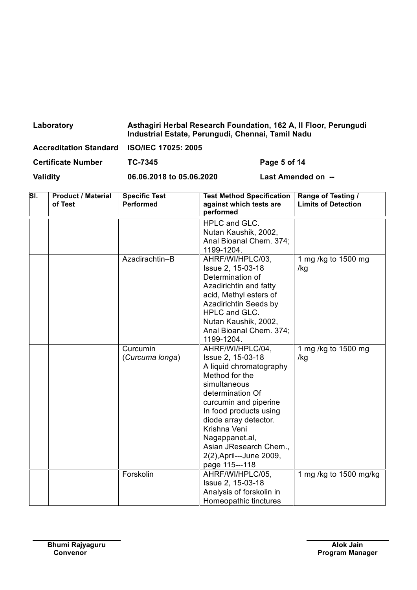| Laboratory                                 | Asthagiri Herbal Research Foundation, 162 A, Il Floor, Perungudi<br>Industrial Estate, Perungudi, Chennai, Tamil Nadu |              |
|--------------------------------------------|-----------------------------------------------------------------------------------------------------------------------|--------------|
| Accreditation Standard ISO/IEC 17025: 2005 |                                                                                                                       |              |
| <b>Certificate Number</b>                  | TC-7345                                                                                                               | Page 5 of 14 |

| SI. | <b>Product / Material</b><br>of Test | <b>Specific Test</b><br><b>Performed</b> | <b>Test Method Specification</b><br>against which tests are | Range of Testing /<br><b>Limits of Detection</b> |
|-----|--------------------------------------|------------------------------------------|-------------------------------------------------------------|--------------------------------------------------|
|     |                                      |                                          | performed                                                   |                                                  |
|     |                                      |                                          | HPLC and GLC.                                               |                                                  |
|     |                                      |                                          | Nutan Kaushik, 2002,                                        |                                                  |
|     |                                      |                                          | Anal Bioanal Chem. 374;                                     |                                                  |
|     |                                      |                                          | 1199-1204.                                                  |                                                  |
|     |                                      | Azadirachtin-B                           | AHRF/WI/HPLC/03,                                            | 1 mg /kg to 1500 mg                              |
|     |                                      |                                          | Issue 2, 15-03-18                                           | /kg                                              |
|     |                                      |                                          | Determination of                                            |                                                  |
|     |                                      |                                          | Azadirichtin and fatty                                      |                                                  |
|     |                                      |                                          | acid, Methyl esters of                                      |                                                  |
|     |                                      |                                          | Azadirichtin Seeds by                                       |                                                  |
|     |                                      |                                          | HPLC and GLC.                                               |                                                  |
|     |                                      |                                          | Nutan Kaushik, 2002,                                        |                                                  |
|     |                                      |                                          | Anal Bioanal Chem. 374;                                     |                                                  |
|     |                                      |                                          | 1199-1204.                                                  |                                                  |
|     |                                      | Curcumin                                 | AHRF/WI/HPLC/04,                                            | 1 mg /kg to 1500 mg                              |
|     |                                      | (Curcuma longa)                          | Issue 2, 15-03-18                                           | /kg                                              |
|     |                                      |                                          | A liquid chromatography                                     |                                                  |
|     |                                      |                                          | Method for the                                              |                                                  |
|     |                                      |                                          | simultaneous                                                |                                                  |
|     |                                      |                                          | determination Of                                            |                                                  |
|     |                                      |                                          | curcumin and piperine                                       |                                                  |
|     |                                      |                                          | In food products using                                      |                                                  |
|     |                                      |                                          | diode array detector.                                       |                                                  |
|     |                                      |                                          | Krishna Veni                                                |                                                  |
|     |                                      |                                          | Nagappanet.al,                                              |                                                  |
|     |                                      |                                          | Asian JResearch Chem.,                                      |                                                  |
|     |                                      |                                          | 2(2), April---June 2009,                                    |                                                  |
|     |                                      |                                          | page 115---118                                              |                                                  |
|     |                                      | Forskolin                                | AHRF/WI/HPLC/05,                                            | 1 mg /kg to 1500 mg/kg                           |
|     |                                      |                                          | Issue 2, 15-03-18                                           |                                                  |
|     |                                      |                                          | Analysis of forskolin in                                    |                                                  |
|     |                                      |                                          | Homeopathic tinctures                                       |                                                  |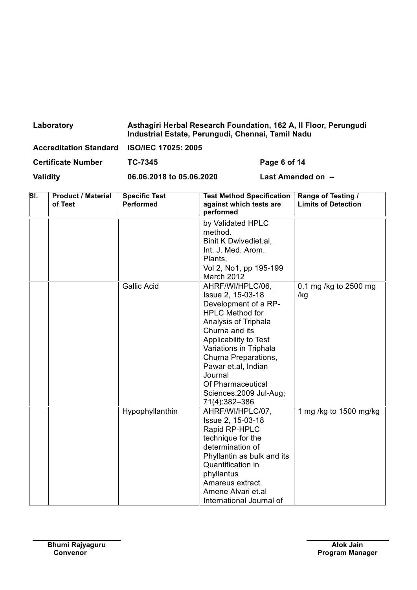| Laboratory                                 | Asthagiri Herbal Research Foundation, 162 A, Il Floor, Perungudi<br>Industrial Estate, Perungudi, Chennai, Tamil Nadu |
|--------------------------------------------|-----------------------------------------------------------------------------------------------------------------------|
| Accreditation Standard ISO/IEC 17025: 2005 |                                                                                                                       |

| <b>Certificate Number</b> | <b>TC-7345</b> |
|---------------------------|----------------|

**Page 6 of 14** 

| SI. | <b>Product / Material</b><br>of Test | <b>Specific Test</b><br><b>Performed</b> | <b>Test Method Specification</b><br>against which tests are<br>performed                                                                                                                                                                                                                                       | Range of Testing /<br><b>Limits of Detection</b> |
|-----|--------------------------------------|------------------------------------------|----------------------------------------------------------------------------------------------------------------------------------------------------------------------------------------------------------------------------------------------------------------------------------------------------------------|--------------------------------------------------|
|     |                                      |                                          | by Validated HPLC<br>method.<br>Binit K Dwivediet.al,<br>Int. J. Med. Arom.<br>Plants,<br>Vol 2, No1, pp 195-199<br>March 2012                                                                                                                                                                                 |                                                  |
|     |                                      | <b>Gallic Acid</b>                       | AHRF/WI/HPLC/06,<br>Issue 2, 15-03-18<br>Development of a RP-<br><b>HPLC Method for</b><br>Analysis of Triphala<br>Churna and its<br>Applicability to Test<br>Variations in Triphala<br>Churna Preparations,<br>Pawar et.al, Indian<br>Journal<br>Of Pharmaceutical<br>Sciences.2009 Jul-Aug;<br>71(4):382-386 | 0.1 mg /kg to 2500 mg<br>/kg                     |
|     |                                      | Hypophyllanthin                          | AHRF/WI/HPLC/07,<br>Issue 2, 15-03-18<br>Rapid RP-HPLC<br>technique for the<br>determination of<br>Phyllantin as bulk and its<br>Quantification in<br>phyllantus<br>Amareus extract.<br>Amene Alvari et.al<br>International Journal of                                                                         | 1 mg /kg to 1500 mg/kg                           |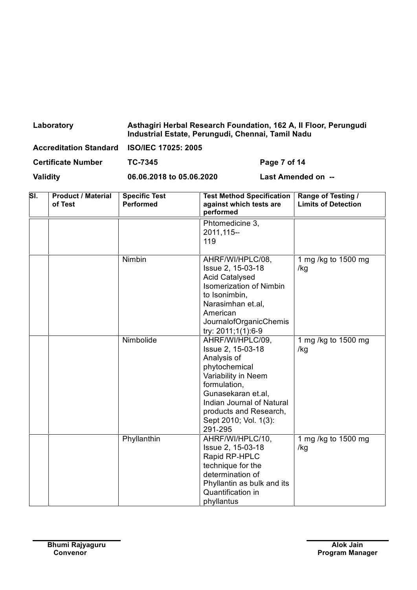| Laboratory                                 | Asthagiri Herbal Research Foundation, 162 A, Il Floor, Perungudi<br>Industrial Estate, Perungudi, Chennai, Tamil Nadu |              |
|--------------------------------------------|-----------------------------------------------------------------------------------------------------------------------|--------------|
| Accreditation Standard ISO/IEC 17025: 2005 |                                                                                                                       |              |
| <b>Certificate Number</b>                  | TC-7345                                                                                                               | Page 7 of 14 |

| SI. | <b>Product / Material</b><br>of Test | <b>Specific Test</b><br><b>Performed</b> | <b>Test Method Specification</b><br>against which tests are<br>performed                                                                                                                                                      | Range of Testing /<br><b>Limits of Detection</b> |
|-----|--------------------------------------|------------------------------------------|-------------------------------------------------------------------------------------------------------------------------------------------------------------------------------------------------------------------------------|--------------------------------------------------|
|     |                                      |                                          | Phtomedicine 3,<br>2011, 115--<br>119                                                                                                                                                                                         |                                                  |
|     |                                      | Nimbin                                   | AHRF/WI/HPLC/08,<br>Issue 2, 15-03-18<br><b>Acid Catalysed</b><br><b>Isomerization of Nimbin</b><br>to Isonimbin,<br>Narasimhan et.al,<br>American<br>JournalofOrganicChemis<br>try: 2011;1(1):6-9                            | 1 mg /kg to 1500 mg<br>/kg                       |
|     |                                      | Nimbolide                                | AHRF/WI/HPLC/09,<br>Issue 2, 15-03-18<br>Analysis of<br>phytochemical<br>Variability in Neem<br>formulation,<br>Gunasekaran et.al,<br>Indian Journal of Natural<br>products and Research,<br>Sept 2010; Vol. 1(3):<br>291-295 | 1 mg /kg to 1500 mg<br>/kg                       |
|     |                                      | Phyllanthin                              | AHRF/WI/HPLC/10,<br>Issue 2, 15-03-18<br>Rapid RP-HPLC<br>technique for the<br>determination of<br>Phyllantin as bulk and its<br>Quantification in<br>phyllantus                                                              | 1 mg /kg to 1500 mg<br>/kg                       |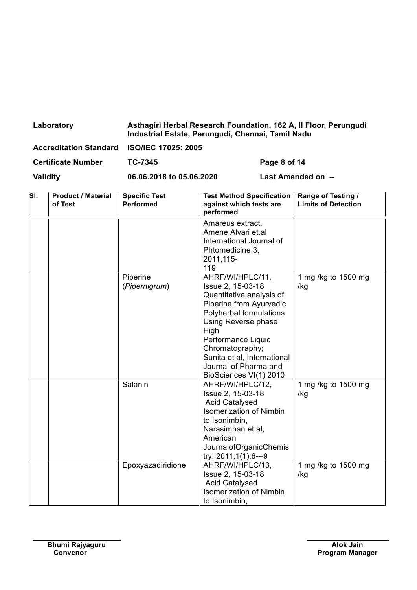| Laboratory                                 | Asthagiri Herbal Research Foundation, 162 A, Il Floor, Perungudi<br>Industrial Estate, Perungudi, Chennai, Tamil Nadu |
|--------------------------------------------|-----------------------------------------------------------------------------------------------------------------------|
| Accreditation Standard ISO/IEC 17025: 2005 |                                                                                                                       |

**Page 8 of 14** 

| SI. | <b>Product / Material</b><br>of Test | <b>Specific Test</b><br><b>Performed</b> | <b>Test Method Specification</b><br>against which tests are<br>performed                                                                                                                                                                                                          | Range of Testing /<br><b>Limits of Detection</b> |
|-----|--------------------------------------|------------------------------------------|-----------------------------------------------------------------------------------------------------------------------------------------------------------------------------------------------------------------------------------------------------------------------------------|--------------------------------------------------|
|     |                                      |                                          | Amareus extract.<br>Amene Alvari et.al<br>International Journal of<br>Phtomedicine 3,<br>2011, 115-<br>119                                                                                                                                                                        |                                                  |
|     |                                      | Piperine<br>(Pipernigrum)                | AHRF/WI/HPLC/11,<br>Issue 2, 15-03-18<br>Quantitative analysis of<br>Piperine from Ayurvedic<br>Polyherbal formulations<br>Using Reverse phase<br>High<br>Performance Liquid<br>Chromatography;<br>Sunita et al, International<br>Journal of Pharma and<br>BioSciences VI(1) 2010 | 1 mg /kg to 1500 mg<br>/kg                       |
|     |                                      | Salanin                                  | AHRF/WI/HPLC/12,<br>Issue 2, 15-03-18<br><b>Acid Catalysed</b><br><b>Isomerization of Nimbin</b><br>to Isonimbin,<br>Narasimhan et.al,<br>American<br><b>JournalofOrganicChemis</b><br>try: 2011;1(1):6---9                                                                       | $\overline{1}$ mg /kg to 1500 mg<br>/kg          |
|     |                                      | Epoxyazadiridione                        | AHRF/WI/HPLC/13,<br>Issue 2, 15-03-18<br><b>Acid Catalysed</b><br><b>Isomerization of Nimbin</b><br>to Isonimbin,                                                                                                                                                                 | 1 mg /kg to 1500 mg<br>/kg                       |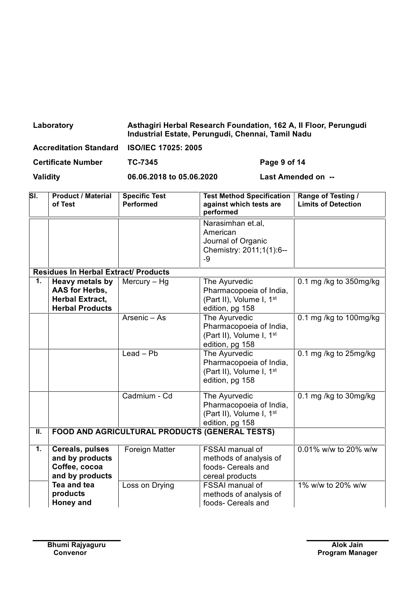| Laboratory | Asthagiri Herbal Research Foundation, 162 A, Il Floor, Perungudi<br>Industrial Estate, Perungudi, Chennai, Tamil Nadu |
|------------|-----------------------------------------------------------------------------------------------------------------------|
|            |                                                                                                                       |

| Accreditation Standard ISO/IEC 17025: 2005 |                          |                    |
|--------------------------------------------|--------------------------|--------------------|
| <b>Certificate Number</b>                  | TC-7345                  | Page 9 of 14       |
| <b>Validity</b>                            | 06.06.2018 to 05.06.2020 | Last Amended on -- |

| SI.                       | <b>Product / Material</b><br>of Test                                                         | <b>Specific Test</b><br><b>Performed</b>              | <b>Test Method Specification</b><br>against which tests are<br>performed                            | Range of Testing /<br><b>Limits of Detection</b> |
|---------------------------|----------------------------------------------------------------------------------------------|-------------------------------------------------------|-----------------------------------------------------------------------------------------------------|--------------------------------------------------|
|                           |                                                                                              |                                                       | Narasimhan et.al,<br>American<br>Journal of Organic<br>Chemistry: 2011;1(1):6--<br>-9               |                                                  |
|                           | <b>Residues In Herbal Extract/ Products</b>                                                  |                                                       |                                                                                                     |                                                  |
| 1.                        | <b>Heavy metals by</b><br>AAS for Herbs,<br><b>Herbal Extract,</b><br><b>Herbal Products</b> | Mercury $-$ Hg                                        | The Ayurvedic<br>Pharmacopoeia of India,<br>(Part II), Volume I, 1st<br>edition, pg 158             | 0.1 mg /kg to $350$ mg/kg                        |
|                           |                                                                                              | Arsenic $-\overline{As}$                              | The Ayurvedic<br>Pharmacopoeia of India,<br>(Part II), Volume I, 1 <sup>st</sup><br>edition, pg 158 | 0.1 mg /kg to 100mg/kg                           |
|                           |                                                                                              | $Leaf - Pb$                                           | The Ayurvedic<br>Pharmacopoeia of India,<br>(Part II), Volume I, 1st<br>edition, pg 158             | 0.1 mg /kg to 25mg/kg                            |
|                           |                                                                                              | Cadmium - Cd                                          | The Ayurvedic<br>Pharmacopoeia of India,<br>(Part II), Volume I, 1st<br>edition, pg 158             | 0.1 mg /kg to 30mg/kg                            |
| $\overline{\mathbb{I}}$ . |                                                                                              | <b>FOOD AND AGRICULTURAL PRODUCTS (GENERAL TESTS)</b> |                                                                                                     |                                                  |
| 1.                        | Cereals, pulses<br>and by products<br>Coffee, cocoa<br>and by products                       | Foreign Matter                                        | <b>FSSAI</b> manual of<br>methods of analysis of<br>foods- Cereals and<br>cereal products           | 0.01% w/w to 20% w/w                             |
|                           | Tea and tea<br>products<br>Honey and                                                         | Loss on Drying                                        | <b>FSSAI</b> manual of<br>methods of analysis of<br>foods- Cereals and                              | 1% w/w to 20% w/w                                |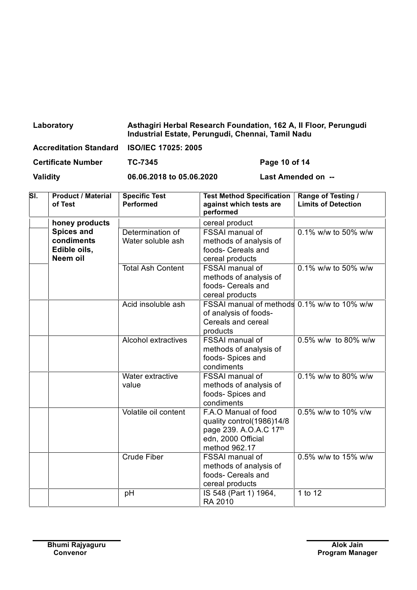| Laboratory                                 | Asthagiri Herbal Research Foundation, 162 A, Il Floor, Perungudi<br>Industrial Estate, Perungudi, Chennai, Tamil Nadu |               |
|--------------------------------------------|-----------------------------------------------------------------------------------------------------------------------|---------------|
| Accreditation Standard ISO/IEC 17025: 2005 |                                                                                                                       |               |
| <b>Certificate Number</b>                  | TC-7345                                                                                                               | Page 10 of 14 |

| SĪ. | <b>Product / Material</b><br>of Test                        | <b>Specific Test</b><br><b>Performed</b> | <b>Test Method Specification</b><br>against which tests are<br>performed                                           | Range of Testing /<br><b>Limits of Detection</b> |
|-----|-------------------------------------------------------------|------------------------------------------|--------------------------------------------------------------------------------------------------------------------|--------------------------------------------------|
|     | honey products                                              |                                          | cereal product                                                                                                     |                                                  |
|     | <b>Spices and</b><br>condiments<br>Edible oils,<br>Neem oil | Determination of<br>Water soluble ash    | <b>FSSAI</b> manual of<br>methods of analysis of<br>foods- Cereals and<br>cereal products                          | 0.1% w/w to 50% w/w                              |
|     |                                                             | <b>Total Ash Content</b>                 | <b>FSSAI</b> manual of<br>methods of analysis of<br>foods- Cereals and<br>cereal products                          | 0.1% w/w to 50% w/w                              |
|     |                                                             | Acid insoluble ash                       | FSSAI manual of methods 0.1% w/w to 10% w/w<br>of analysis of foods-<br>Cereals and cereal<br>products             |                                                  |
|     |                                                             | <b>Alcohol extractives</b>               | <b>FSSAI</b> manual of<br>methods of analysis of<br>foods- Spices and<br>condiments                                | 0.5% w/w to 80% w/w                              |
|     |                                                             | Water extractive<br>value                | <b>FSSAI</b> manual of<br>methods of analysis of<br>foods- Spices and<br>condiments                                | $0.1\%$ w/w to 80% w/w                           |
|     |                                                             | Volatile oil content                     | F.A.O Manual of food<br>quality control(1986)14/8<br>page 239. A.O.A.C 17th<br>edn, 2000 Official<br>method 962.17 | 0.5% w/w to 10% v/w                              |
|     |                                                             | <b>Crude Fiber</b>                       | <b>FSSAI</b> manual of<br>methods of analysis of<br>foods- Cereals and<br>cereal products                          | 0.5% w/w to 15% w/w                              |
|     |                                                             | pH                                       | IS 548 (Part 1) 1964,<br>RA 2010                                                                                   | 1 to 12                                          |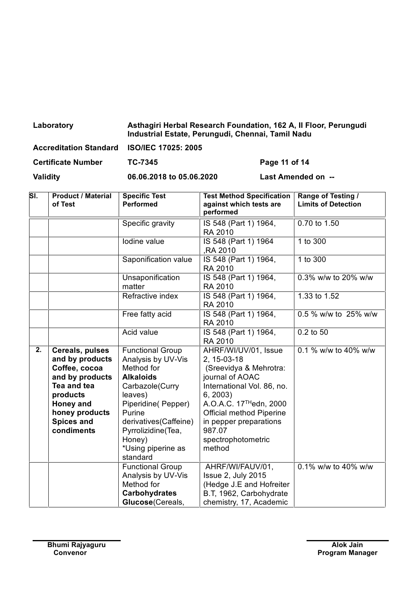| Laboratory                                 | Asthagiri Herbal Research Foundation, 162 A, Il Floor, Perungudi<br>Industrial Estate, Perungudi, Chennai, Tamil Nadu |  |
|--------------------------------------------|-----------------------------------------------------------------------------------------------------------------------|--|
| Accreditation Standard ISO/IEC 17025: 2005 |                                                                                                                       |  |

| <b>Certificate Number</b> | TC-7345 |
|---------------------------|---------|
|                           |         |

**Page 11 of 14** 

| SI. | <b>Product / Material</b><br>of Test                                                                                                                                | <b>Specific Test</b><br><b>Performed</b>                                                                                                                                                                                                 | <b>Test Method Specification</b><br>against which tests are<br>performed                                                                                                                                                                                                | Range of Testing /<br><b>Limits of Detection</b> |
|-----|---------------------------------------------------------------------------------------------------------------------------------------------------------------------|------------------------------------------------------------------------------------------------------------------------------------------------------------------------------------------------------------------------------------------|-------------------------------------------------------------------------------------------------------------------------------------------------------------------------------------------------------------------------------------------------------------------------|--------------------------------------------------|
|     |                                                                                                                                                                     | Specific gravity                                                                                                                                                                                                                         | IS 548 (Part 1) 1964,<br>RA 2010                                                                                                                                                                                                                                        | 0.70 to 1.50                                     |
|     |                                                                                                                                                                     | Iodine value                                                                                                                                                                                                                             | IS 548 (Part 1) 1964<br>,RA 2010                                                                                                                                                                                                                                        | 1 to 300                                         |
|     |                                                                                                                                                                     | Saponification value                                                                                                                                                                                                                     | IS 548 (Part 1) 1964,<br>RA 2010                                                                                                                                                                                                                                        | 1 to 300                                         |
|     |                                                                                                                                                                     | Unsaponification<br>matter                                                                                                                                                                                                               | IS 548 (Part 1) 1964,<br>RA 2010                                                                                                                                                                                                                                        | 0.3% w/w to 20% w/w                              |
|     |                                                                                                                                                                     | Refractive index                                                                                                                                                                                                                         | IS 548 (Part 1) 1964,<br>RA 2010                                                                                                                                                                                                                                        | 1.33 to 1.52                                     |
|     |                                                                                                                                                                     | Free fatty acid                                                                                                                                                                                                                          | IS 548 (Part 1) 1964,<br>RA 2010                                                                                                                                                                                                                                        | 0.5 % w/w to 25% w/w                             |
|     |                                                                                                                                                                     | Acid value                                                                                                                                                                                                                               | IS 548 (Part 1) 1964,<br>RA 2010                                                                                                                                                                                                                                        | 0.2 to 50                                        |
| 2.  | Cereals, pulses<br>and by products<br>Coffee, cocoa<br>and by products<br>Tea and tea<br>products<br>Honey and<br>honey products<br><b>Spices and</b><br>condiments | <b>Functional Group</b><br>Analysis by UV-Vis<br>Method for<br><b>Alkaloids</b><br>Carbazole(Curry<br>leaves)<br>Piperidine(Pepper)<br>Purine<br>derivatives(Caffeine)<br>Pyrrolizidine(Tea,<br>Honey)<br>*Using piperine as<br>standard | AHRF/WI/UV/01, Issue<br>2, 15-03-18<br>(Sreevidya & Mehrotra:<br>journal of AOAC<br>International Vol. 86, no.<br>6, 2003<br>A.O.A.C. 17 <sup>TH</sup> edn, 2000<br><b>Official method Piperine</b><br>in pepper preparations<br>987.07<br>spectrophotometric<br>method | 0.1 % w/w to 40% w/w                             |
|     |                                                                                                                                                                     | <b>Functional Group</b><br>Analysis by UV-Vis<br>Method for<br><b>Carbohydrates</b><br>Glucose (Cereals,                                                                                                                                 | AHRF/WI/FAUV/01,<br>Issue 2, July 2015<br>(Hedge J.E and Hofreiter<br>B.T, 1962, Carbohydrate<br>chemistry, 17, Academic                                                                                                                                                | 0.1% w/w to 40% w/w                              |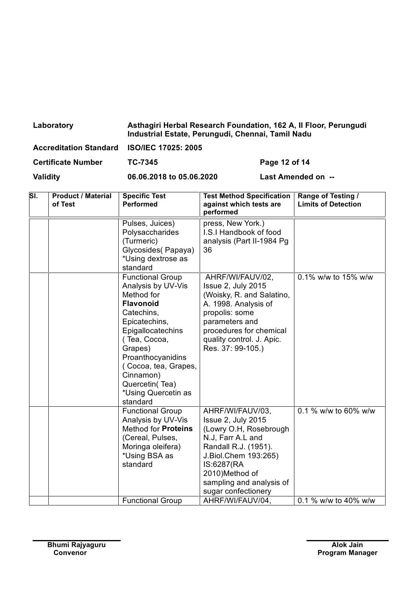| Asthagiri Herbal Research Foundation, 162 A, Il Floor, Perungudi |
|------------------------------------------------------------------|
|                                                                  |

| Accreditation Standard ISO/IEC 17025: 2005 |                          |                    |  |  |
|--------------------------------------------|--------------------------|--------------------|--|--|
| <b>Certificate Number</b>                  | TC-7345                  | Page 12 of 14      |  |  |
| <b>Validity</b>                            | 06.06.2018 to 05.06.2020 | Last Amended on -- |  |  |

Cinnamon) Quercetin(Tea) \*Using Quercetin as

standard

Functional Group Analysis by UV-Vis Method for **Proteins** (Cereal, Pulses, Moringa oleifera) \*Using BSA as standard

**Sl. Product / Material**

| <b>Product / Material</b><br>of Test | <b>Specific Test</b><br><b>Performed</b>                                                                                                                                                                    | <b>Test Method Specification</b><br>against which tests are<br>performed                                                                                                                                     | Range of Testing /<br><b>Limits of Detection</b> |
|--------------------------------------|-------------------------------------------------------------------------------------------------------------------------------------------------------------------------------------------------------------|--------------------------------------------------------------------------------------------------------------------------------------------------------------------------------------------------------------|--------------------------------------------------|
|                                      | Pulses, Juices)<br>Polysaccharides<br>(Turmeric)<br>Glycosides(Papaya)<br>*Using dextrose as<br>standard                                                                                                    | press, New York.)<br>I.S.I Handbook of food<br>analysis (Part II-1984 Pg)<br>36                                                                                                                              |                                                  |
|                                      | <b>Functional Group</b><br>Analysis by UV-Vis<br>Method for<br><b>Flavonoid</b><br>Catechins,<br>Epicatechins,<br>Epigallocatechins<br>( Tea, Cocoa,<br>Grapes)<br>Proanthocyanidins<br>Cocoa, tea, Grapes, | AHRF/WI/FAUV/02,<br>Issue 2, July 2015<br>(Woisky, R. and Salatino,<br>A. 1998. Analysis of<br>propolis: some<br>parameters and<br>procedures for chemical<br>quality control. J. Apic.<br>Res. 37: 99-105.) | 0.1% w/w to 15% w/w                              |

AHRF/WI/FAUV/03, Issue 2, July 2015

N.J, Farr A.L and Randall R.J. (1951). J.Biol.Chem 193:265)

IS:6287(RA 2010)Method of

(Lowry O.H, Rosebrough

sampling and analysis of sugar confectionery

Functional Group | AHRF/WI/FAUV/04, 0.1 % w/w to 40% w/w

0.1 % w/w to 60% w/w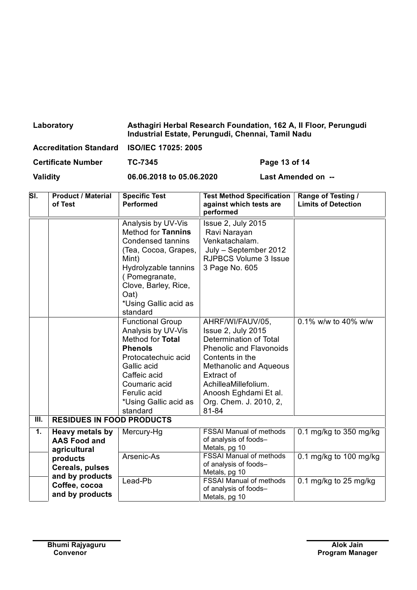| Laboratory                                 | Asthagiri Herbal Research Foundation, 162 A, Il Floor, Perungudi<br>Industrial Estate, Perungudi, Chennai, Tamil Nadu |  |
|--------------------------------------------|-----------------------------------------------------------------------------------------------------------------------|--|
| Accreditation Standard ISO/IEC 17025: 2005 |                                                                                                                       |  |

| <b>Certificate Number</b> | TC-7345 |
|---------------------------|---------|

**Page 13 of 14** 

 $\overline{\phantom{0}}$ 

| SI.                         | <b>Product / Material</b><br>of Test                   | <b>Specific Test</b><br><b>Performed</b>                                                                                                                                                                            | <b>Test Method Specification</b><br>against which tests are<br>performed                                                                                                                                                                                 | Range of Testing /<br><b>Limits of Detection</b> |
|-----------------------------|--------------------------------------------------------|---------------------------------------------------------------------------------------------------------------------------------------------------------------------------------------------------------------------|----------------------------------------------------------------------------------------------------------------------------------------------------------------------------------------------------------------------------------------------------------|--------------------------------------------------|
|                             |                                                        | Analysis by UV-Vis<br>Method for Tannins<br><b>Condensed tannins</b><br>(Tea, Cocoa, Grapes,<br>Mint)<br>Hydrolyzable tannins<br>(Pomegranate,<br>Clove, Barley, Rice,<br>Oat)<br>*Using Gallic acid as<br>standard | Issue 2, July 2015<br>Ravi Narayan<br>Venkatachalam.<br>July - September 2012<br><b>RJPBCS Volume 3 Issue</b><br>3 Page No. 605                                                                                                                          |                                                  |
|                             |                                                        | <b>Functional Group</b><br>Analysis by UV-Vis<br>Method for Total<br><b>Phenols</b><br>Protocatechuic acid<br>Gallic acid<br>Caffeic acid<br>Coumaric acid<br>Ferulic acid<br>*Using Gallic acid as<br>standard     | AHRF/WI/FAUV/05,<br>Issue 2, July 2015<br>Determination of Total<br><b>Phenolic and Flavonoids</b><br>Contents in the<br><b>Methanolic and Aqueous</b><br>Extract of<br>AchilleaMillefolium.<br>Anoosh Eghdami Et al.<br>Org. Chem. J. 2010, 2,<br>81-84 | 0.1% w/w to 40% w/w                              |
| $\overline{\mathbf{III}}$ . | <b>RESIDUES IN FOOD PRODUCTS</b>                       |                                                                                                                                                                                                                     |                                                                                                                                                                                                                                                          |                                                  |
| 1.                          | Heavy metals by<br><b>AAS Food and</b><br>agricultural | Mercury-Hg                                                                                                                                                                                                          | <b>FSSAI Manual of methods</b><br>of analysis of foods-<br>Metals, pg 10                                                                                                                                                                                 | 0.1 mg/kg to 350 mg/kg                           |
|                             | products<br>Cereals, pulses                            | Arsenic-As                                                                                                                                                                                                          | <b>FSSAI Manual of methods</b><br>of analysis of foods-<br>Metals, pg 10                                                                                                                                                                                 | 0.1 mg/kg to 100 mg/kg                           |
|                             | and by products<br>Coffee, cocoa<br>and by products    | Lead-Pb                                                                                                                                                                                                             | <b>FSSAI Manual of methods</b><br>of analysis of foods-<br>Metals, pg 10                                                                                                                                                                                 | 0.1 mg/kg to 25 mg/kg                            |